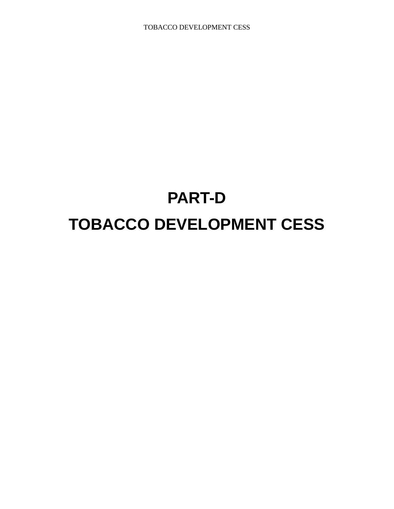# **PART-D TOBACCO DEVELOPMENT CESS**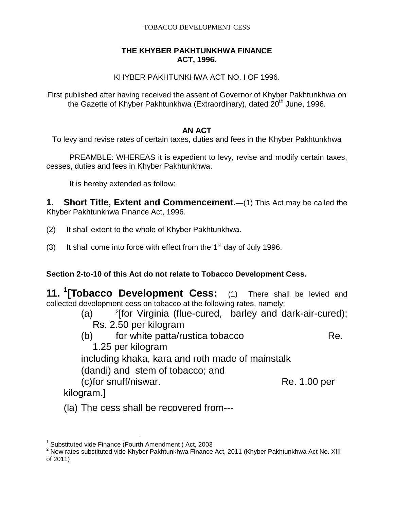### **THE KHYBER PAKHTUNKHWA FINANCE ACT, 1996.**

## KHYBER PAKHTUNKHWA ACT NO. I OF 1996.

First published after having received the assent of Governor of Khyber Pakhtunkhwa on the Gazette of Khyber Pakhtunkhwa (Extraordinary), dated 20<sup>th</sup> June, 1996.

## **AN ACT**

To levy and revise rates of certain taxes, duties and fees in the Khyber Pakhtunkhwa

PREAMBLE: WHEREAS it is expedient to levy, revise and modify certain taxes, cesses, duties and fees in Khyber Pakhtunkhwa.

It is hereby extended as follow:

**1. Short Title, Extent and Commencement.—**(1) This Act may be called the Khyber Pakhtunkhwa Finance Act, 1996.

- (2) It shall extent to the whole of Khyber Pakhtunkhwa.
- (3) It shall come into force with effect from the  $1<sup>st</sup>$  day of July 1996.

## **Section 2-to-10 of this Act do not relate to Tobacco Development Cess.**

**11. <sup>1</sup> [Tobacco Development Cess:** (1) There shall be levied and collected development cess on tobacco at the following rates, namely:

- $(a)$ <sup>2</sup>[for Virginia (flue-cured, barley and dark-air-cured); Rs. 2.50 per kilogram
- (b) for white patta/rustica tobacco Re. 1.25 per kilogram

including khaka, kara and roth made of mainstalk

(dandi) and stem of tobacco; and

(c)for snuff/niswar. Re. 1.00 per

kilogram.]

(la) The cess shall be recovered from---

 1 Substituted vide Finance (Fourth Amendment ) Act, 2003

<sup>2</sup> New rates substituted vide Khyber Pakhtunkhwa Finance Act, 2011 (Khyber Pakhtunkhwa Act No. XIII of 2011)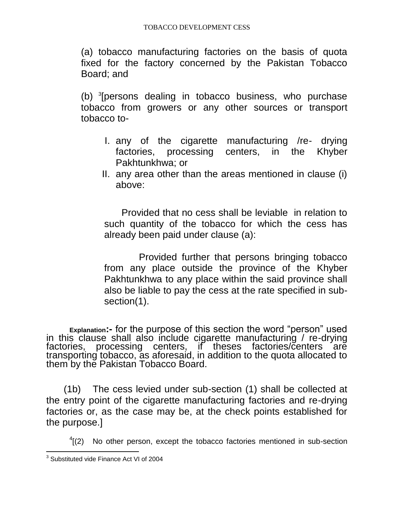(a) tobacco manufacturing factories on the basis of quota fixed for the factory concerned by the Pakistan Tobacco Board; and

(b) <sup>3</sup> [persons dealing in tobacco business, who purchase tobacco from growers or any other sources or transport tobacco to-

- I. any of the cigarette manufacturing /re- drying factories, processing centers, in the Khyber Pakhtunkhwa; or
- II. any area other than the areas mentioned in clause (i) above:

Provided that no cess shall be leviable in relation to such quantity of the tobacco for which the cess has already been paid under clause (a):

Provided further that persons bringing tobacco from any place outside the province of the Khyber Pakhtunkhwa to any place within the said province shall also be liable to pay the cess at the rate specified in subsection(1).

**Explanation:-** for the purpose of this section the word "person" used in this clause shall also include cigarette manufacturing / re-drying factories, processing centers, if theses factories/centers are transporting tobacco, as aforesaid, in addition to the quota allocated to them by the Pakistan Tobacco Board.

(1b) The cess levied under sub-section (1) shall be collected at the entry point of the cigarette manufacturing factories and re-drying factories or, as the case may be, at the check points established for the purpose.]

 $4(2)$  No other person, except the tobacco factories mentioned in sub-section

 3 Substituted vide Finance Act VI of 2004